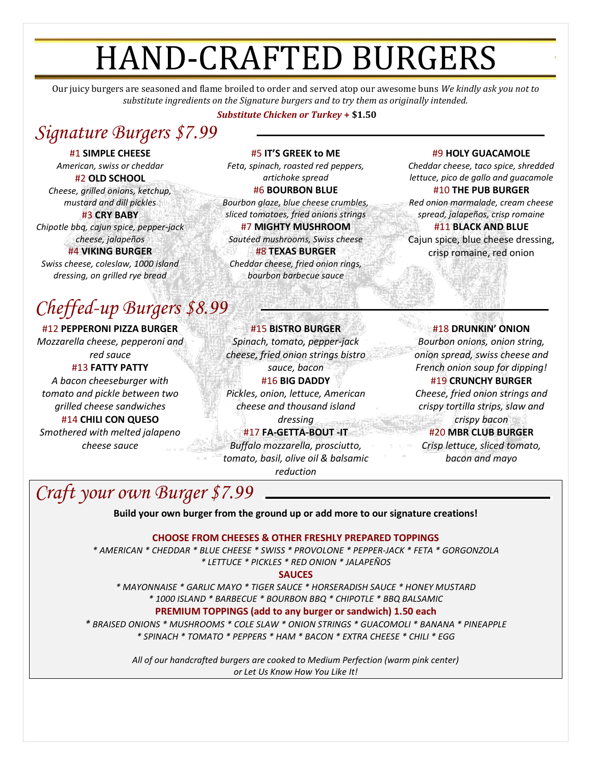## HAND-CRAFTED BURGERS

Our juicy burgers are seasoned and flame broiled to order and served atop our awesome buns *We kindly ask you not to substitute ingredients on the Signature burgers and to try them as originally intended.*

#### *Substitute Chicken or Turkey* **+ \$1.50**

## *Signature Burgers \$7.99*

#1 **SIMPLE CHEESE** *American, swiss or cheddar*

#2 **OLD SCHOOL** *Cheese, grilled onions, ketchup, mustard and dill pickles* #3 **CRY BABY** *Chipotle bbq, cajun spice, pepper-jack cheese, jalapeños*

#4 **VIKING BURGER** *Swiss cheese, coleslaw, 1000 island dressing, on grilled rye bread*

## *Cheffed-up Burgers \$8.99*

#12 **PEPPERONI PIZZA BURGER** *Mozzarella cheese, pepperoni and red sauce* #13 **FATTY PATTY**

*A bacon cheeseburger with tomato and pickle between two grilled cheese sandwiches* #14 **CHILI CON QUESO** *Smothered with melted jalapeno cheese sauce*

#5 **IT'S GREEK to ME** *Feta, spinach, roasted red peppers, artichoke spread* #6 **BOURBON BLUE** *Bourbon glaze, blue cheese crumbles, sliced tomatoes, fried onions strings*

#7 **MIGHTY MUSHROOM** *Sautéed mushrooms, Swiss cheese*

#8 **TEXAS BURGER** *Cheddar cheese, fried onion rings, bourbon barbecue sauce*

#15 **BISTRO BURGER** *Spinach, tomato, pepper-jack cheese, fried onion strings bistro sauce, bacon* #16 **BIG DADDY** *Pickles, onion, lettuce, American cheese and thousand island dressing*

#### #17 **FA-GETTA-BOUT -IT**

*Buffalo mozzarella, prosciutto, tomato, basil, olive oil & balsamic reduction*

#### #9 **HOLY GUACAMOLE**

*Cheddar cheese, taco spice, shredded lettuce, pico de gallo and guacamole* #10 **THE PUB BURGER**

*Red onion marmalade, cream cheese spread, jalapeños, crisp romaine*

#11 **BLACK AND BLUE** Cajun spice, blue cheese dressing, crisp romaine, red onion

#18 **DRUNKIN' ONION** *Bourbon onions, onion string, onion spread, swiss cheese and French onion soup for dipping!* #19 **CRUNCHY BURGER** *Cheese, fried onion strings and crispy tortilla strips, slaw and crispy bacon* #20 **MBR CLUB BURGER** *Crisp lettuce, sliced tomato, bacon and mayo*

## *Craft your own Burger \$7.99*

**Build your own burger from the ground up or add more to our signature creations!**

#### **CHOOSE FROM CHEESES & OTHER FRESHLY PREPARED TOPPINGS**

*\* AMERICAN \* CHEDDAR \* BLUE CHEESE \* SWISS \* PROVOLONE \* PEPPER-JACK \* FETA \* GORGONZOLA \* LETTUCE \* PICKLES \* RED ONION \* JALAPEÑOS*

#### **SAUCES**

*\* MAYONNAISE \* GARLIC MAYO \* TIGER SAUCE \* HORSERADISH SAUCE \* HONEY MUSTARD \* 1000 ISLAND \* BARBECUE \* BOURBON BBQ \* CHIPOTLE \* BBQ BALSAMIC* **PREMIUM TOPPINGS (add to any burger or sandwich) 1.50 each**

*\* BRAISED ONIONS \* MUSHROOMS \* COLE SLAW \* ONION STRINGS \* GUACOMOLI \* BANANA \* PINEAPPLE \* SPINACH \* TOMATO \* PEPPERS \* HAM \* BACON \* EXTRA CHEESE \* CHILI \* EGG*

> *All of our handcrafted burgers are cooked to Medium Perfection (warm pink center) or Let Us Know How You Like It!*